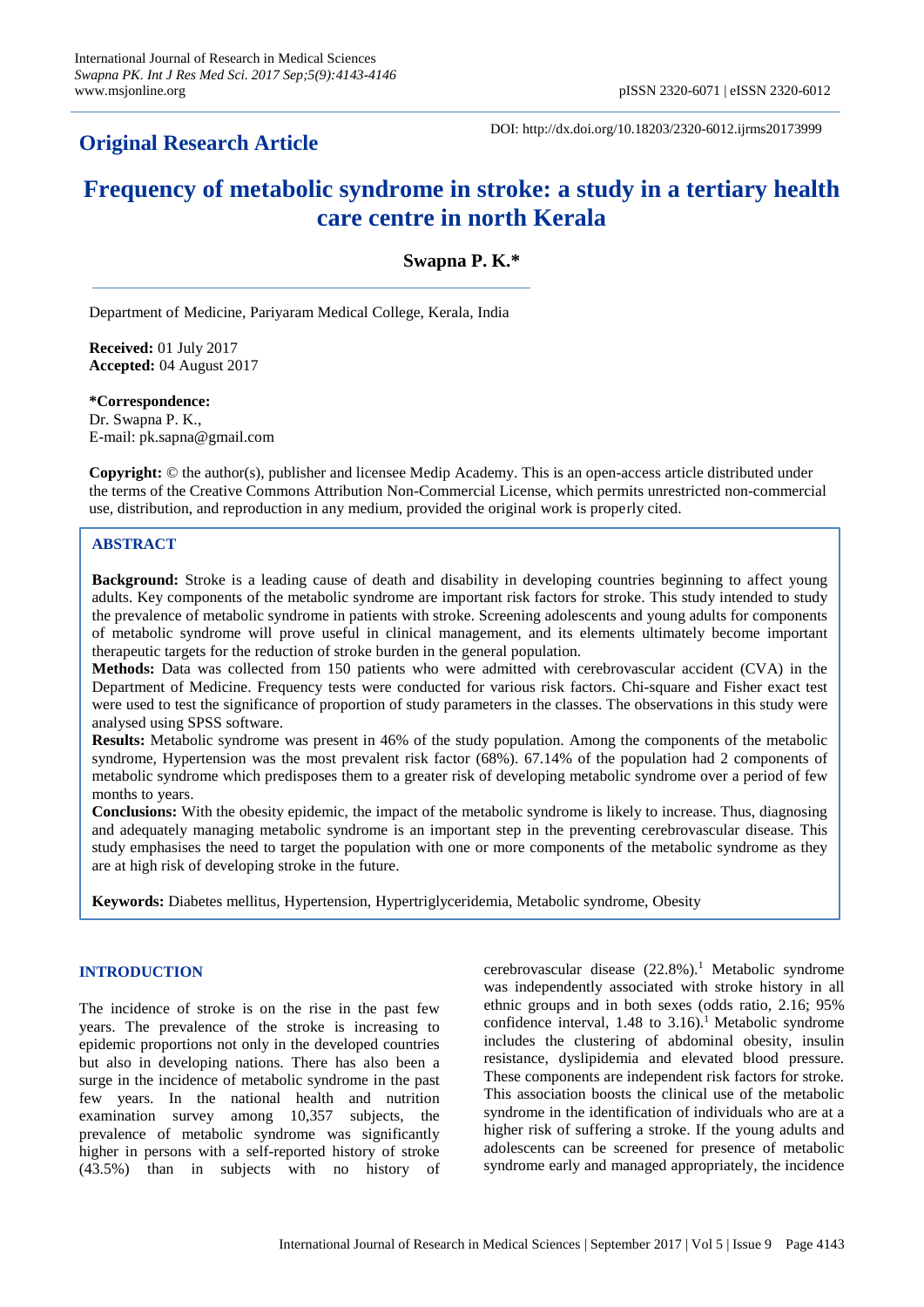## **Original Research Article**

DOI: http://dx.doi.org/10.18203/2320-6012.ijrms20173999

# **Frequency of metabolic syndrome in stroke: a study in a tertiary health care centre in north Kerala**

## **Swapna P. K.\***

Department of Medicine, Pariyaram Medical College, Kerala, India

**Received:** 01 July 2017 **Accepted:** 04 August 2017

**\*Correspondence:** Dr. Swapna P. K., E-mail: pk.sapna@gmail.com

**Copyright:** © the author(s), publisher and licensee Medip Academy. This is an open-access article distributed under the terms of the Creative Commons Attribution Non-Commercial License, which permits unrestricted non-commercial use, distribution, and reproduction in any medium, provided the original work is properly cited.

### **ABSTRACT**

**Background:** Stroke is a leading cause of death and disability in developing countries beginning to affect young adults. Key components of the metabolic syndrome are important risk factors for stroke. This study intended to study the prevalence of metabolic syndrome in patients with stroke. Screening adolescents and young adults for components of metabolic syndrome will prove useful in clinical management, and its elements ultimately become important therapeutic targets for the reduction of stroke burden in the general population.

**Methods:** Data was collected from 150 patients who were admitted with cerebrovascular accident (CVA) in the Department of Medicine. Frequency tests were conducted for various risk factors. Chi-square and Fisher exact test were used to test the significance of proportion of study parameters in the classes. The observations in this study were analysed using SPSS software.

**Results:** Metabolic syndrome was present in 46% of the study population. Among the components of the metabolic syndrome, Hypertension was the most prevalent risk factor (68%). 67.14% of the population had 2 components of metabolic syndrome which predisposes them to a greater risk of developing metabolic syndrome over a period of few months to years.

**Conclusions:** With the obesity epidemic, the impact of the metabolic syndrome is likely to increase. Thus, diagnosing and adequately managing metabolic syndrome is an important step in the preventing cerebrovascular disease. This study emphasises the need to target the population with one or more components of the metabolic syndrome as they are at high risk of developing stroke in the future.

**Keywords:** Diabetes mellitus, Hypertension, Hypertriglyceridemia, Metabolic syndrome, Obesity

#### **INTRODUCTION**

The incidence of stroke is on the rise in the past few years. The prevalence of the stroke is increasing to epidemic proportions not only in the developed countries but also in developing nations. There has also been a surge in the incidence of metabolic syndrome in the past few years. In the national health and nutrition examination survey among 10,357 subjects, the prevalence of metabolic syndrome was significantly higher in persons with a self-reported history of stroke (43.5%) than in subjects with no history of cerebrovascular disease  $(22.8\%)$ .<sup>1</sup> Metabolic syndrome was independently associated with stroke history in all ethnic groups and in both sexes (odds ratio, 2.16; 95% confidence interval,  $1.48$  to  $3.16$ .<sup>1</sup> Metabolic syndrome includes the clustering of abdominal obesity, insulin resistance, dyslipidemia and elevated blood pressure. These components are independent risk factors for stroke. This association boosts the clinical use of the metabolic syndrome in the identification of individuals who are at a higher risk of suffering a stroke. If the young adults and adolescents can be screened for presence of metabolic syndrome early and managed appropriately, the incidence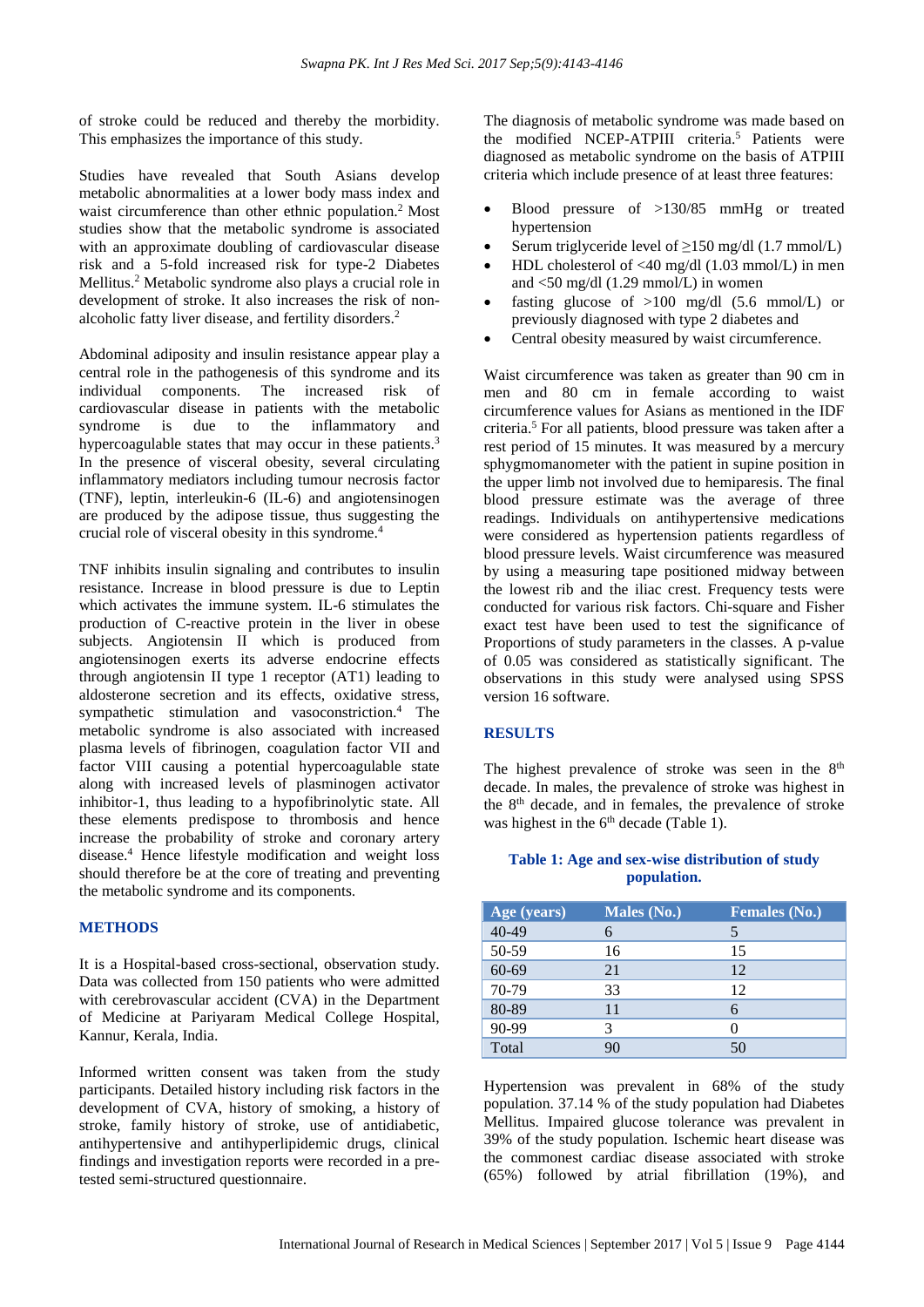of stroke could be reduced and thereby the morbidity. This emphasizes the importance of this study.

Studies have revealed that South Asians develop metabolic abnormalities at a lower body mass index and waist circumference than other ethnic population.<sup>2</sup> Most studies show that the metabolic syndrome is associated with an approximate doubling of cardiovascular disease risk and a 5-fold increased risk for type-2 Diabetes Mellitus.<sup>2</sup> Metabolic syndrome also plays a crucial role in development of stroke. It also increases the risk of nonalcoholic fatty liver disease, and fertility disorders.<sup>2</sup>

Abdominal adiposity and insulin resistance appear play a central role in the pathogenesis of this syndrome and its individual components. The increased risk of cardiovascular disease in patients with the metabolic syndrome is due to the inflammatory and hypercoagulable states that may occur in these patients.<sup>3</sup> In the presence of visceral obesity, several circulating inflammatory mediators including tumour necrosis factor (TNF), leptin, interleukin-6 (IL-6) and angiotensinogen are produced by the adipose tissue, thus suggesting the crucial role of visceral obesity in this syndrome.<sup>4</sup>

TNF inhibits insulin signaling and contributes to insulin resistance. Increase in blood pressure is due to Leptin which activates the immune system. IL-6 stimulates the production of C-reactive protein in the liver in obese subjects. Angiotensin II which is produced from angiotensinogen exerts its adverse endocrine effects through angiotensin II type 1 receptor (AT1) leading to aldosterone secretion and its effects, oxidative stress, sympathetic stimulation and vasoconstriction. $4$  The metabolic syndrome is also associated with increased plasma levels of fibrinogen, coagulation factor VII and factor VIII causing a potential hypercoagulable state along with increased levels of plasminogen activator inhibitor-1, thus leading to a hypofibrinolytic state. All these elements predispose to thrombosis and hence increase the probability of stroke and coronary artery disease.<sup>4</sup> Hence lifestyle modification and weight loss should therefore be at the core of treating and preventing the metabolic syndrome and its components.

#### **METHODS**

It is a Hospital-based cross-sectional, observation study. Data was collected from 150 patients who were admitted with cerebrovascular accident (CVA) in the Department of Medicine at Pariyaram Medical College Hospital, Kannur, Kerala, India.

Informed written consent was taken from the study participants. Detailed history including risk factors in the development of CVA, history of smoking, a history of stroke, family history of stroke, use of antidiabetic, antihypertensive and antihyperlipidemic drugs, clinical findings and investigation reports were recorded in a pretested semi-structured questionnaire.

The diagnosis of metabolic syndrome was made based on the modified NCEP-ATPIII criteria.<sup>5</sup> Patients were diagnosed as metabolic syndrome on the basis of ATPIII criteria which include presence of at least three features:

- Blood pressure of >130/85 mmHg or treated hypertension
- Serum triglyceride level of  $\geq$ 150 mg/dl (1.7 mmol/L)
- HDL cholesterol of  $\langle 40 \text{ mg/dl} (1.03 \text{ mmol/L})$  in men and  $\leq$ 50 mg/dl (1.29 mmol/L) in women
- fasting glucose of  $>100$  mg/dl (5.6 mmol/L) or previously diagnosed with type 2 diabetes and
- Central obesity measured by waist circumference.

Waist circumference was taken as greater than 90 cm in men and 80 cm in female according to waist circumference values for Asians as mentioned in the IDF criteria. <sup>5</sup> For all patients, blood pressure was taken after a rest period of 15 minutes. It was measured by a mercury sphygmomanometer with the patient in supine position in the upper limb not involved due to hemiparesis. The final blood pressure estimate was the average of three readings. Individuals on antihypertensive medications were considered as hypertension patients regardless of blood pressure levels. Waist circumference was measured by using a measuring tape positioned midway between the lowest rib and the iliac crest. Frequency tests were conducted for various risk factors. Chi-square and Fisher exact test have been used to test the significance of Proportions of study parameters in the classes. A p-value of 0.05 was considered as statistically significant. The observations in this study were analysed using SPSS version 16 software.

#### **RESULTS**

The highest prevalence of stroke was seen in the  $8<sup>th</sup>$ decade. In males, the prevalence of stroke was highest in the 8<sup>th</sup> decade, and in females, the prevalence of stroke was highest in the 6<sup>th</sup> decade (Table 1).

#### **Table 1: Age and sex-wise distribution of study population.**

| Age (years) | Males (No.) | <b>Females (No.)</b> |
|-------------|-------------|----------------------|
| 40-49       | 6           | 5                    |
| 50-59       | 16          | 15                   |
| 60-69       | 21          | 12                   |
| 70-79       | 33          | 12                   |
| 80-89       | 11          | 6                    |
| 90-99       | 3           |                      |
| Total       | 90          | 50                   |

Hypertension was prevalent in 68% of the study population. 37.14 % of the study population had Diabetes Mellitus. Impaired glucose tolerance was prevalent in 39% of the study population. Ischemic heart disease was the commonest cardiac disease associated with stroke (65%) followed by atrial fibrillation (19%), and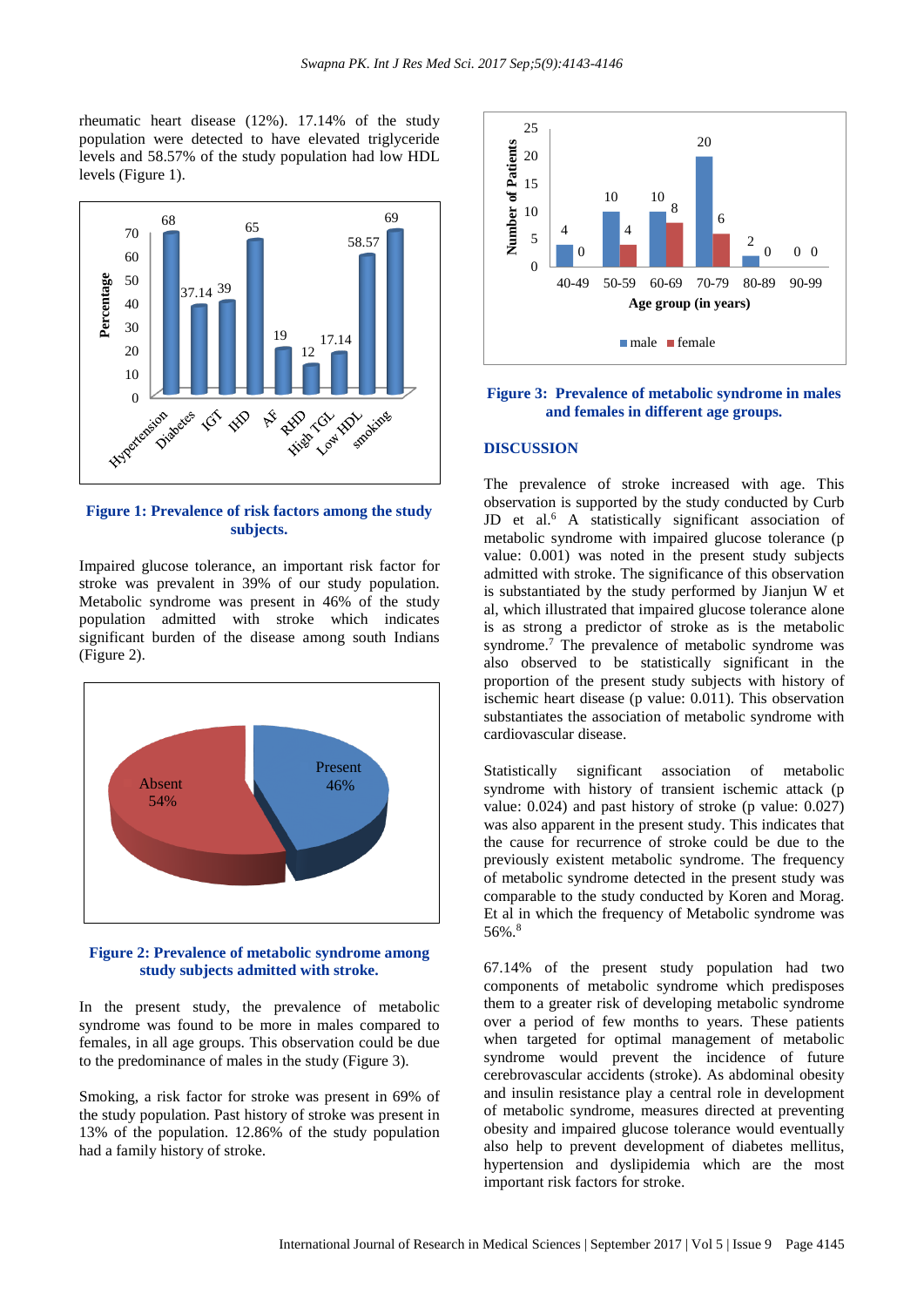rheumatic heart disease (12%). 17.14% of the study population were detected to have elevated triglyceride levels and 58.57% of the study population had low HDL levels (Figure 1).



#### **Figure 1: Prevalence of risk factors among the study subjects.**

Impaired glucose tolerance, an important risk factor for stroke was prevalent in 39% of our study population. Metabolic syndrome was present in 46% of the study population admitted with stroke which indicates significant burden of the disease among south Indians (Figure 2).



#### **Figure 2: Prevalence of metabolic syndrome among study subjects admitted with stroke.**

In the present study, the prevalence of metabolic syndrome was found to be more in males compared to females, in all age groups. This observation could be due to the predominance of males in the study (Figure 3).

Smoking, a risk factor for stroke was present in 69% of the study population. Past history of stroke was present in 13% of the population. 12.86% of the study population had a family history of stroke.



#### **Figure 3: Prevalence of metabolic syndrome in males and females in different age groups.**

#### **DISCUSSION**

The prevalence of stroke increased with age. This observation is supported by the study conducted by Curb JD et al.<sup>6</sup> A statistically significant association of metabolic syndrome with impaired glucose tolerance (p value: 0.001) was noted in the present study subjects admitted with stroke. The significance of this observation is substantiated by the study performed by Jianjun W et al, which illustrated that impaired glucose tolerance alone is as strong a predictor of stroke as is the metabolic syndrome.<sup>7</sup> The prevalence of metabolic syndrome was also observed to be statistically significant in the proportion of the present study subjects with history of ischemic heart disease (p value: 0.011). This observation substantiates the association of metabolic syndrome with cardiovascular disease.

Statistically significant association of metabolic syndrome with history of transient ischemic attack (p value: 0.024) and past history of stroke (p value: 0.027) was also apparent in the present study. This indicates that the cause for recurrence of stroke could be due to the previously existent metabolic syndrome. The frequency of metabolic syndrome detected in the present study was comparable to the study conducted by Koren and Morag. Et al in which the frequency of Metabolic syndrome was 56%. 8

67.14% of the present study population had two components of metabolic syndrome which predisposes them to a greater risk of developing metabolic syndrome over a period of few months to years. These patients when targeted for optimal management of metabolic syndrome would prevent the incidence of future cerebrovascular accidents (stroke). As abdominal obesity and insulin resistance play a central role in development of metabolic syndrome, measures directed at preventing obesity and impaired glucose tolerance would eventually also help to prevent development of diabetes mellitus, hypertension and dyslipidemia which are the most important risk factors for stroke.